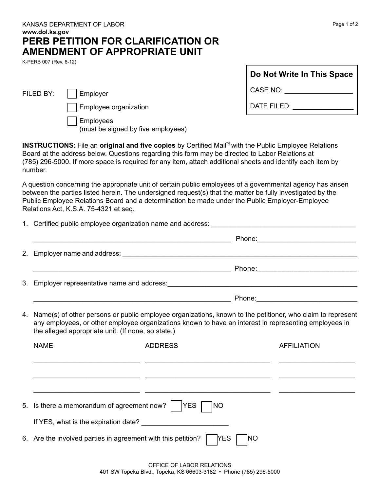| KANSAS DEPARTMENT OF LABOR                |
|-------------------------------------------|
| www.dol.ks.gov                            |
| <b>PERB PETITION FOR CLARIFICATION OR</b> |
| AMENDMENT OF APPROPRIATE UNIT             |

K-PERB 007 (Rev. 6-12)

| Do Not Write In This Space |  |
|----------------------------|--|
| CASE NO:                   |  |

DATE FILED:

FILED BY: | Employer

Employee organization

Employees (must be signed by five employees)

**INSTRUCTIONS:** File an original and five copies by Certified Mail<sup>TM</sup> with the Public Employee Relations Board at the address below. Questions regarding this form may be directed to Labor Relations at (785) 296-5000. If more space is required for any item, attach additional sheets and identify each item by number.

A question concerning the appropriate unit of certain public employees of a governmental agency has arisen between the parties listed herein. The undersigned request(s) that the matter be fully investigated by the Public Employee Relations Board and a determination be made under the Public Employer-Employee Relations Act, K.S.A. 75-4321 et seq.

| 4. | Name(s) of other persons or public employee organizations, known to the petitioner, who claim to represent<br>any employees, or other employee organizations known to have an interest in representing employees in<br>the alleged appropriate unit. (If none, so state.) |                                                                                       |            |                    |  |
|----|---------------------------------------------------------------------------------------------------------------------------------------------------------------------------------------------------------------------------------------------------------------------------|---------------------------------------------------------------------------------------|------------|--------------------|--|
|    | <b>NAME</b>                                                                                                                                                                                                                                                               | <b>ADDRESS</b>                                                                        |            | <b>AFFILIATION</b> |  |
|    |                                                                                                                                                                                                                                                                           |                                                                                       |            |                    |  |
|    |                                                                                                                                                                                                                                                                           | <u> 1989 - Johann Harry Barn, mars and deutscher Amerikaanse kommunister († 1908)</u> |            |                    |  |
|    | 5. Is there a memorandum of agreement now?       YES  <br>INO                                                                                                                                                                                                             |                                                                                       |            |                    |  |
|    |                                                                                                                                                                                                                                                                           |                                                                                       |            |                    |  |
|    | 6. Are the involved parties in agreement with this petition?   YES                                                                                                                                                                                                        |                                                                                       | <b>INO</b> |                    |  |
|    |                                                                                                                                                                                                                                                                           |                                                                                       |            |                    |  |